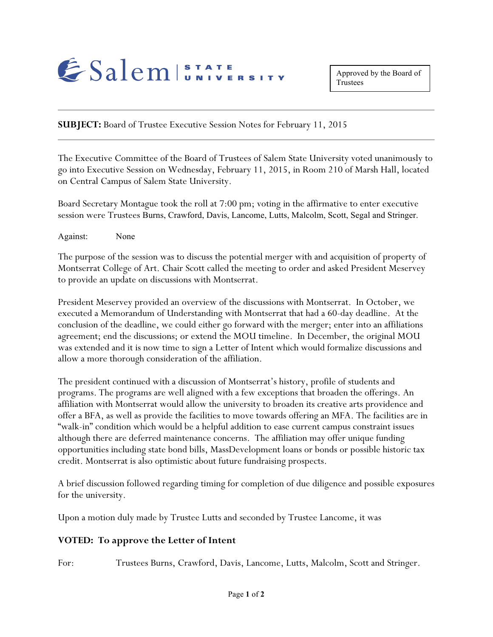

**SUBJECT:** Board of Trustee Executive Session Notes for February 11, 2015

The Executive Committee of the Board of Trustees of Salem State University voted unanimously to go into Executive Session on Wednesday, February 11, 2015, in Room 210 of Marsh Hall, located on Central Campus of Salem State University.

Board Secretary Montague took the roll at 7:00 pm; voting in the affirmative to enter executive session were Trustees Burns, Crawford, Davis, Lancome, Lutts, Malcolm, Scott, Segal and Stringer.

Against: None

The purpose of the session was to discuss the potential merger with and acquisition of property of Montserrat College of Art. Chair Scott called the meeting to order and asked President Meservey to provide an update on discussions with Montserrat.

President Meservey provided an overview of the discussions with Montserrat. In October, we executed a Memorandum of Understanding with Montserrat that had a 60-day deadline. At the conclusion of the deadline, we could either go forward with the merger; enter into an affiliations agreement; end the discussions; or extend the MOU timeline. In December, the original MOU was extended and it is now time to sign a Letter of Intent which would formalize discussions and allow a more thorough consideration of the affiliation.

The president continued with a discussion of Montserrat's history, profile of students and programs. The programs are well aligned with a few exceptions that broaden the offerings. An affiliation with Montserrat would allow the university to broaden its creative arts providence and offer a BFA, as well as provide the facilities to move towards offering an MFA. The facilities are in "walk-in" condition which would be a helpful addition to ease current campus constraint issues although there are deferred maintenance concerns. The affiliation may offer unique funding opportunities including state bond bills, MassDevelopment loans or bonds or possible historic tax credit. Montserrat is also optimistic about future fundraising prospects.

A brief discussion followed regarding timing for completion of due diligence and possible exposures for the university.

Upon a motion duly made by Trustee Lutts and seconded by Trustee Lancome, it was

## **VOTED: To approve the Letter of Intent**

For: Trustees Burns, Crawford, Davis, Lancome, Lutts, Malcolm, Scott and Stringer.